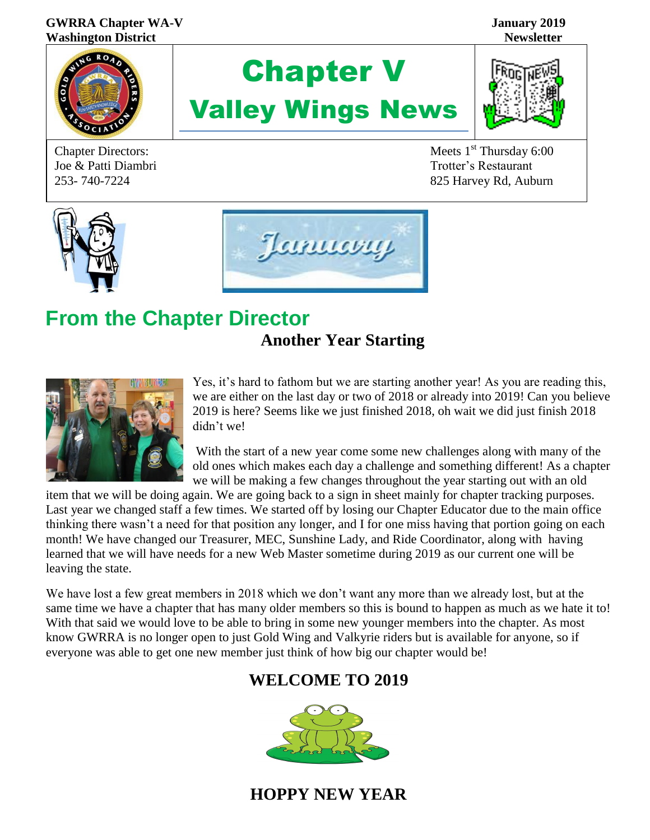#### **GWRRA Chapter WA-V January 2019 Washington District Newsletter**



Joe & Patti Diambri Trotter's Restaurant

# Chapter V Valley Wings News



Chapter Directors: Meets 1<sup>st</sup> Thursday 6:00 253- 740-7224 825 Harvey Rd, Auburn





### **From the Chapter Director Another Year Starting**



Yes, it's hard to fathom but we are starting another year! As you are reading this, we are either on the last day or two of 2018 or already into 2019! Can you believe 2019 is here? Seems like we just finished 2018, oh wait we did just finish 2018 didn't we!

With the start of a new year come some new challenges along with many of the old ones which makes each day a challenge and something different! As a chapter we will be making a few changes throughout the year starting out with an old

item that we will be doing again. We are going back to a sign in sheet mainly for chapter tracking purposes. Last year we changed staff a few times. We started off by losing our Chapter Educator due to the main office thinking there wasn't a need for that position any longer, and I for one miss having that portion going on each month! We have changed our Treasurer, MEC, Sunshine Lady, and Ride Coordinator, along with having learned that we will have needs for a new Web Master sometime during 2019 as our current one will be leaving the state.

We have lost a few great members in 2018 which we don't want any more than we already lost, but at the same time we have a chapter that has many older members so this is bound to happen as much as we hate it to! With that said we would love to be able to bring in some new younger members into the chapter. As most know GWRRA is no longer open to just Gold Wing and Valkyrie riders but is available for anyone, so if everyone was able to get one new member just think of how big our chapter would be!

### **WELCOME TO 2019**



**HOPPY N[EW YE](https://creativecommons.org/licenses/by-sa/3.0/)AR**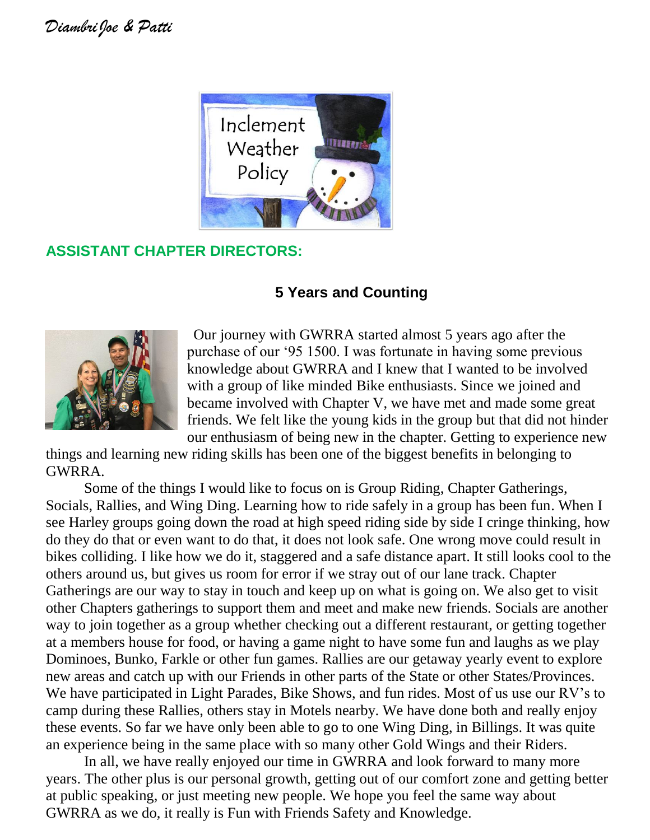

### **ASSISTANT CHAPTER DIRECTORS:**

### **5 Years and Counting**



 Our journey with GWRRA started almost 5 years ago after the purchase of our '95 1500. I was fortunate in having some previous knowledge about GWRRA and I knew that I wanted to be involved with a group of like minded Bike enthusiasts. Since we joined and became involved with Chapter V, we have met and made some great friends. We felt like the young kids in the group but that did not hinder our enthusiasm of being new in the chapter. Getting to experience new

things and learning new riding skills has been one of the biggest benefits in belonging to GWRRA.

Some of the things I would like to focus on is Group Riding, Chapter Gatherings, Socials, Rallies, and Wing Ding. Learning how to ride safely in a group has been fun. When I see Harley groups going down the road at high speed riding side by side I cringe thinking, how do they do that or even want to do that, it does not look safe. One wrong move could result in bikes colliding. I like how we do it, staggered and a safe distance apart. It still looks cool to the others around us, but gives us room for error if we stray out of our lane track. Chapter Gatherings are our way to stay in touch and keep up on what is going on. We also get to visit other Chapters gatherings to support them and meet and make new friends. Socials are another way to join together as a group whether checking out a different restaurant, or getting together at a members house for food, or having a game night to have some fun and laughs as we play Dominoes, Bunko, Farkle or other fun games. Rallies are our getaway yearly event to explore new areas and catch up with our Friends in other parts of the State or other States/Provinces. We have participated in Light Parades, Bike Shows, and fun rides. Most of us use our RV's to camp during these Rallies, others stay in Motels nearby. We have done both and really enjoy these events. So far we have only been able to go to one Wing Ding, in Billings. It was quite an experience being in the same place with so many other Gold Wings and their Riders.

In all, we have really enjoyed our time in GWRRA and look forward to many more years. The other plus is our personal growth, getting out of our comfort zone and getting better at public speaking, or just meeting new people. We hope you feel the same way about GWRRA as we do, it really is Fun with Friends Safety and Knowledge.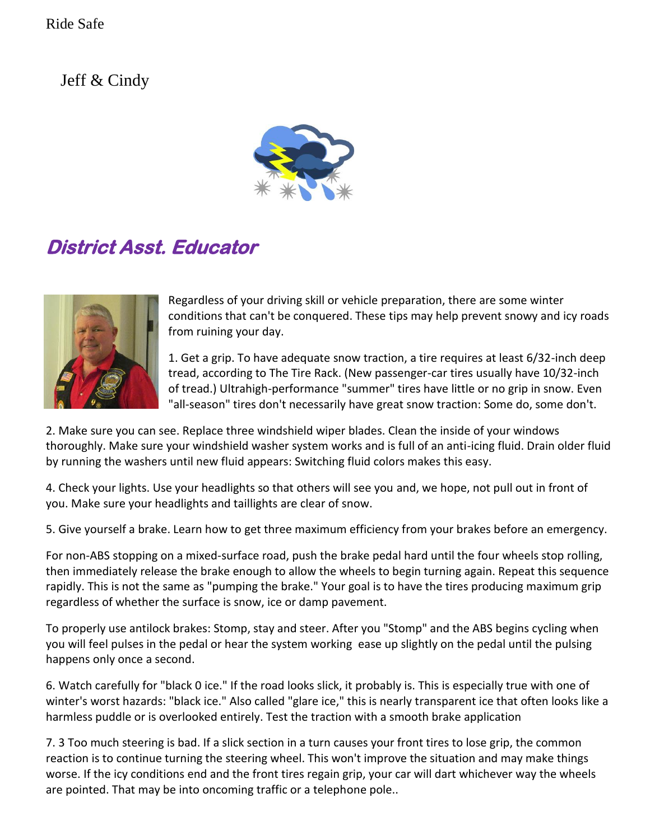Jeff  $&$  Cindy



## **District Asst. Educator**



Regardless of your driving skill or vehicle preparation, there are some winter conditions that can't be conquered. These tips may help prevent snowy and icy roads from ruining your day.

1. Get a grip. To have adequate snow traction, a tire requires at least 6/32-inch deep tread, according to The Tire Rack. (New passenger-car tires usually have 10/32-inch of tread.) Ultrahigh-performance "summer" tires have little or no grip in snow. Even "all-season" tires don't necessarily have great snow traction: Some do, some don't.

2. Make sure you can see. Replace three windshield wiper blades. Clean the inside of your windows thoroughly. Make sure your windshield washer system works and is full of an anti-icing fluid. Drain older fluid by running the washers until new fluid appears: Switching fluid colors makes this easy.

4. Check your lights. Use your headlights so that others will see you and, we hope, not pull out in front of you. Make sure your headlights and taillights are clear of snow.

5. Give yourself a brake. Learn how to get three maximum efficiency from your brakes before an emergency.

For non-ABS stopping on a mixed-surface road, push the brake pedal hard until the four wheels stop rolling, then immediately release the brake enough to allow the wheels to begin turning again. Repeat this sequence rapidly. This is not the same as "pumping the brake." Your goal is to have the tires producing maximum grip regardless of whether the surface is snow, ice or damp pavement.

To properly use antilock brakes: Stomp, stay and steer. After you "Stomp" and the ABS begins cycling when you will feel pulses in the pedal or hear the system working ease up slightly on the pedal until the pulsing happens only once a second.

6. Watch carefully for "black 0 ice." If the road looks slick, it probably is. This is especially true with one of winter's worst hazards: "black ice." Also called "glare ice," this is nearly transparent ice that often looks like a harmless puddle or is overlooked entirely. Test the traction with a smooth brake application

7. 3 Too much steering is bad. If a slick section in a turn causes your front tires to lose grip, the common reaction is to continue turning the steering wheel. This won't improve the situation and may make things worse. If the icy conditions end and the front tires regain grip, your car will dart whichever way the wheels are pointed. That may be into oncoming traffic or a telephone pole..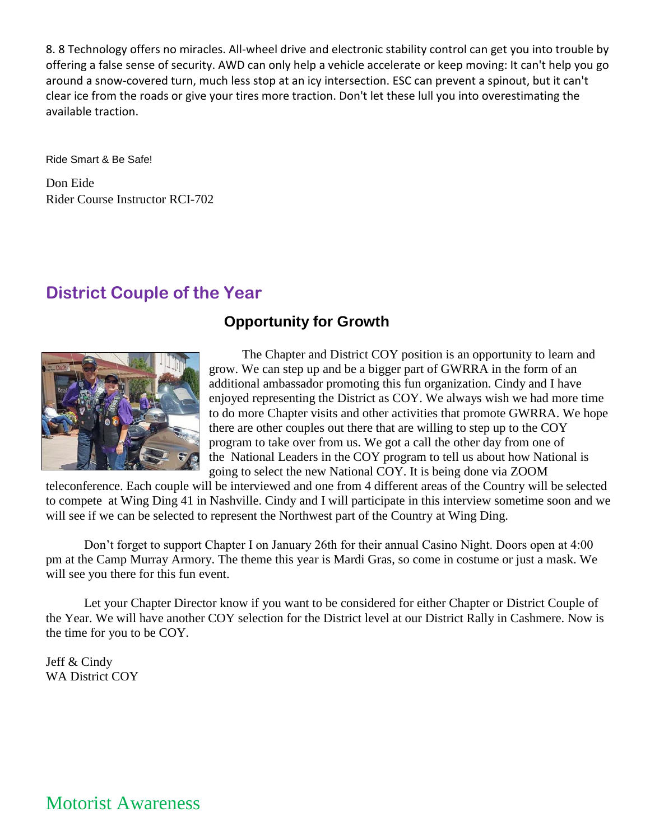8. 8 Technology offers no miracles. All-wheel drive and electronic stability control can get you into trouble by offering a false sense of security. AWD can only help a vehicle accelerate or keep moving: It can't help you go around a snow-covered turn, much less stop at an icy intersection. ESC can prevent a spinout, but it can't clear ice from the roads or give your tires more traction. Don't let these lull you into overestimating the available traction.

Ride Smart & Be Safe!

Don Eide Rider Course Instructor RCI-702

### **District Couple of the Year**

#### **Opportunity for Growth**



The Chapter and District COY position is an opportunity to learn and grow. We can step up and be a bigger part of GWRRA in the form of an additional ambassador promoting this fun organization. Cindy and I have enjoyed representing the District as COY. We always wish we had more time to do more Chapter visits and other activities that promote GWRRA. We hope there are other couples out there that are willing to step up to the COY program to take over from us. We got a call the other day from one of the National Leaders in the COY program to tell us about how National is going to select the new National COY. It is being done via ZOOM

teleconference. Each couple will be interviewed and one from 4 different areas of the Country will be selected to compete at Wing Ding 41 in Nashville. Cindy and I will participate in this interview sometime soon and we will see if we can be selected to represent the Northwest part of the Country at Wing Ding.

Don't forget to support Chapter I on January 26th for their annual Casino Night. Doors open at 4:00 pm at the Camp Murray Armory. The theme this year is Mardi Gras, so come in costume or just a mask. We will see you there for this fun event.

Let your Chapter Director know if you want to be considered for either Chapter or District Couple of the Year. We will have another COY selection for the District level at our District Rally in Cashmere. Now is the time for you to be COY.

Jeff & Cindy WA District COY

Motorist Awareness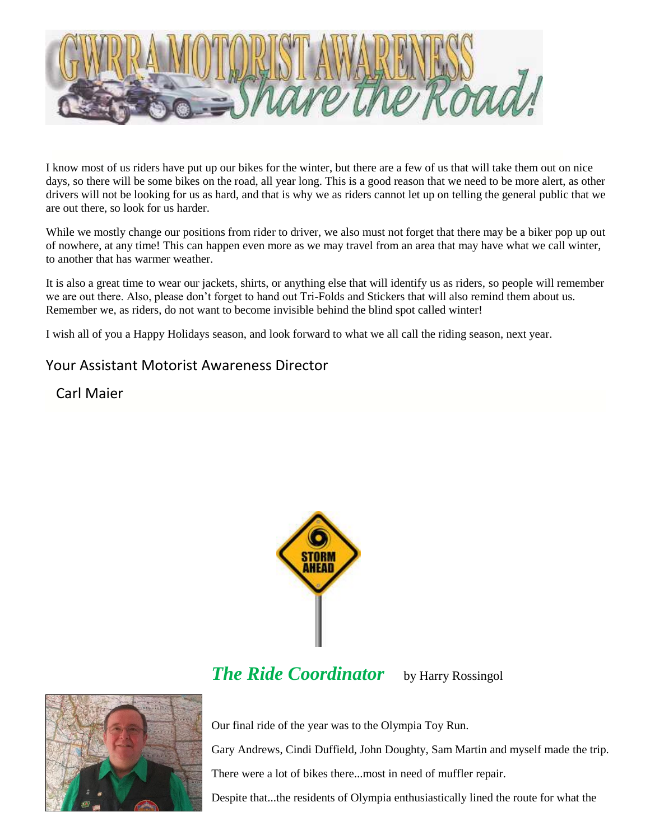

I know most of us riders have put up our bikes for the winter, but there are a few of us that will take them out on nice days, so there will be some bikes on the road, all year long. This is a good reason that we need to be more alert, as other drivers will not be looking for us as hard, and that is why we as riders cannot let up on telling the general public that we are out there, so look for us harder.

While we mostly change our positions from rider to driver, we also must not forget that there may be a biker pop up out of nowhere, at any time! This can happen even more as we may travel from an area that may have what we call winter, to another that has warmer weather.

It is also a great time to wear our jackets, shirts, or anything else that will identify us as riders, so people will remember we are out there. Also, please don't forget to hand out Tri-Folds and Stickers that will also remind them about us. Remember we, as riders, do not want to become invisible behind the blind spot called winter!

I wish all of you a Happy Holidays season, and look forward to what we all call the riding season, next year.

#### Your Assistant Motorist Awareness Director

Carl Maier



### *The Ride Coordinator* by Harry Rossingol



Our final ride of the year was to the Olympia Toy Run.

Gary Andrews, Cindi Duffield, John Doughty, Sam Martin and myself made the trip.

There were a lot of bikes there...most in need of muffler repair.

Despite that...the residents of Olympia enthusiastically lined the route for what the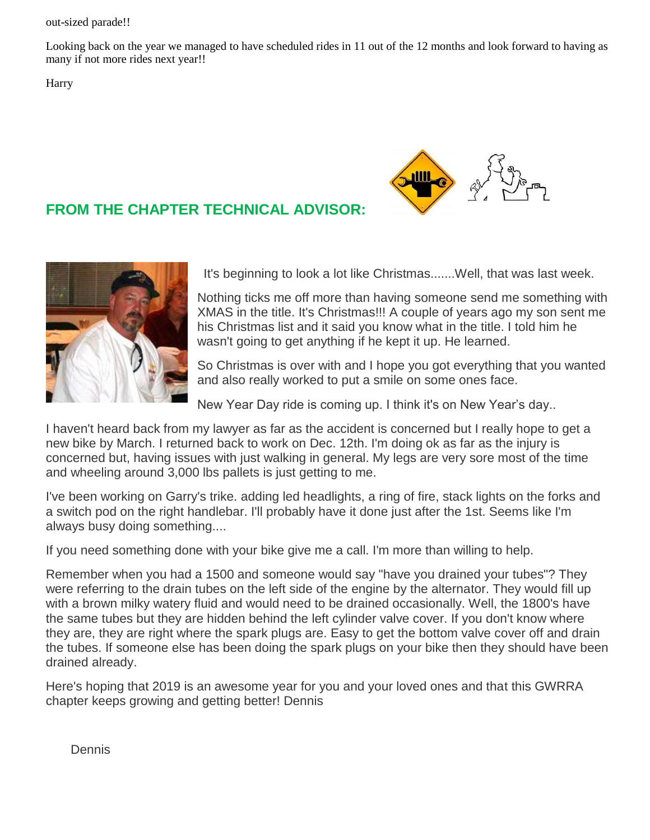out-sized parade!!

Looking back on the year we managed to have scheduled rides in 11 out of the 12 months and look forward to having as many if not more rides next year!!

**Harry** 

#### **FROM THE CHAPTER TECHNICAL ADVISOR:**





It's beginning to look a lot like Christmas.......Well, that was last week.

Nothing ticks me off more than having someone send me something with XMAS in the title. It's Christmas!!! A couple of years ago my son sent me his Christmas list and it said you know what in the title. I told him he wasn't going to get anything if he kept it up. He learned.

So Christmas is over with and I hope you got everything that you wanted and also really worked to put a smile on some ones face.

New Year Day ride is coming up. I think it's on New Year's day..

I haven't heard back from my lawyer as far as the accident is concerned but I really hope to get a new bike by March. I returned back to work on Dec. 12th. I'm doing ok as far as the injury is concerned but, having issues with just walking in general. My legs are very sore most of the time and wheeling around 3,000 lbs pallets is just getting to me.

I've been working on Garry's trike. adding led headlights, a ring of fire, stack lights on the forks and a switch pod on the right handlebar. I'll probably have it done just after the 1st. Seems like I'm always busy doing something....

If you need something done with your bike give me a call. I'm more than willing to help.

Remember when you had a 1500 and someone would say "have you drained your tubes"? They were referring to the drain tubes on the left side of the engine by the alternator. They would fill up with a brown milky watery fluid and would need to be drained occasionally. Well, the 1800's have the same tubes but they are hidden behind the left cylinder valve cover. If you don't know where they are, they are right where the spark plugs are. Easy to get the bottom valve cover off and drain the tubes. If someone else has been doing the spark plugs on your bike then they should have been drained already.

Here's hoping that 2019 is an awesome year for you and your loved ones and that this GWRRA chapter keeps growing and getting better! Dennis

**Dennis**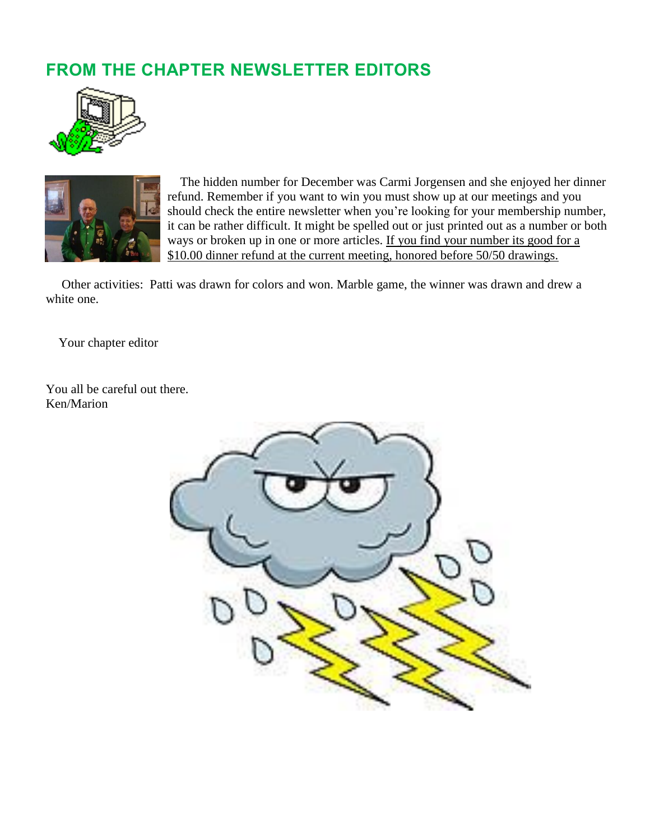### **FROM THE CHAPTER NEWSLETTER EDITORS**





 The hidden number for December was Carmi Jorgensen and she enjoyed her dinner refund. Remember if you want to win you must show up at our meetings and you should check the entire newsletter when you're looking for your membership number, it can be rather difficult. It might be spelled out or just printed out as a number or both ways or broken up in one or more articles. If you find your number its good for a \$10.00 dinner refund at the current meeting, honored before 50/50 drawings.

 Other activities: Patti was drawn for colors and won. Marble game, the winner was drawn and drew a white one.

Your chapter editor

You all be careful out there. Ken/Marion

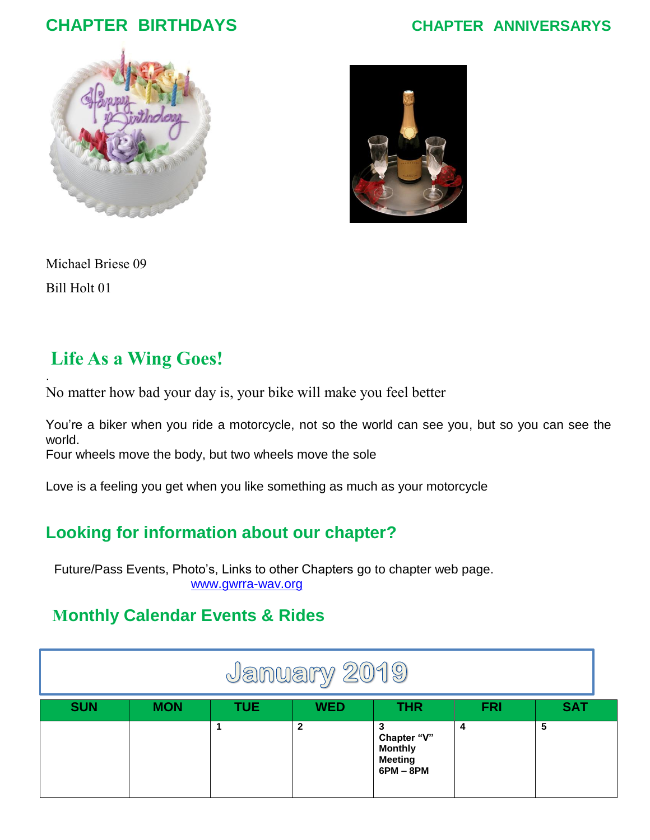### **CHAPTER BIRTHDAYS CHAPTER ANNIVERSARYS**





Michael Briese 09 Bill Holt 01

.

### **Life As a Wing Goes!**

No matter how bad your day is, your bike will make you feel better

You're a biker when you ride a motorcycle, not so the world can see you, but so you can see the world.

Four wheels move the body, but two wheels move the sole

Love is a feeling you get when you like something as much as your motorcycle

### **Looking for information about our chapter?**

Future/Pass Events, Photo's, Links to other Chapters go to chapter web page. [www.gwrra-wav.org](http://www.gwrra-wav.org/)

### **Monthly Calendar Events & Rides**

| January 2019 |            |            |              |                                                                |            |            |  |  |  |
|--------------|------------|------------|--------------|----------------------------------------------------------------|------------|------------|--|--|--|
| <b>SUN</b>   | <b>MON</b> | <b>TUE</b> | <b>WED</b>   | <b>THR</b>                                                     | <b>FRI</b> | <b>SAT</b> |  |  |  |
|              |            |            | $\mathbf{2}$ | Chapter "V"<br><b>Monthly</b><br><b>Meeting</b><br>$6PM - 8PM$ | 4          | 5          |  |  |  |